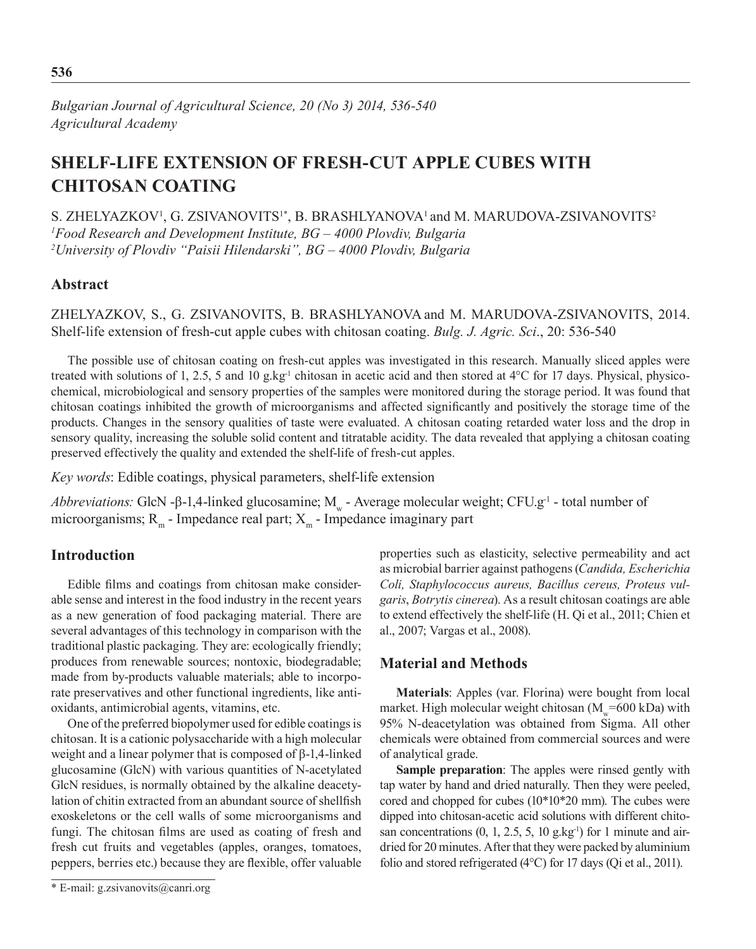*Bulgarian Journal of Agricultural Science, 20 (No 3) 2014, 536-540 Agricultural Academy*

# **Shelf-life Extension of Fresh-cut Apple Cubes with Chitosan Coating**

S. ZHELYAZKOV<sup>1</sup>, G. ZSIVANOVITS<sup>1\*</sup>, B. BRASHLYANOVA<sup>1</sup> and M. MARUDOVA-ZSIVANOVITS<sup>2</sup> *1 Food Research and Development Institute, BG – 4000 Plovdiv, Bulgaria 2 University of Plovdiv "Paisii Hilendarski", BG – 4000 Plovdiv, Bulgaria*

#### **Abstract**

Zhelyazkov, S., G. Zsivanovits, B. Brashlyanova and M. Marudova-Zsivanovits, 2014. Shelf-life extension of fresh-cut apple cubes with chitosan coating. *Bulg. J. Agric. Sci*., 20: 536-540

The possible use of chitosan coating on fresh-cut apples was investigated in this research. Manually sliced apples were treated with solutions of 1, 2.5, 5 and 10 g.kg<sup>-1</sup> chitosan in acetic acid and then stored at 4°C for 17 days. Physical, physicochemical, microbiological and sensory properties of the samples were monitored during the storage period. It was found that chitosan coatings inhibited the growth of microorganisms and affected significantly and positively the storage time of the products. Changes in the sensory qualities of taste were evaluated. A chitosan coating retarded water loss and the drop in sensory quality, increasing the soluble solid content and titratable acidity. The data revealed that applying a chitosan coating preserved effectively the quality and extended the shelf-life of fresh-cut apples.

*Key words*: Edible coatings, physical parameters, shelf-life extension

*Abbreviations:* GlcN -β-1,4-linked glucosamine; M<sub>w</sub> - Average molecular weight; CFU.g<sup>-1</sup> - total number of microorganisms;  $R_m$  - Impedance real part;  $X_m$  - Impedance imaginary part

### **Introduction**

Edible films and coatings from chitosan make considerable sense and interest in the food industry in the recent years as a new generation of food packaging material. There are several advantages of this technology in comparison with the traditional plastic packaging. They are: ecologically friendly; produces from renewable sources; nontoxic, biodegradable; made from by-products valuable materials; able to incorporate preservatives and other functional ingredients, like antioxidants, antimicrobial agents, vitamins, etc.

One of the preferred biopolymer used for edible coatings is chitosan. It is a cationic polysaccharide with a high molecular weight and a linear polymer that is composed of β-1,4-linked glucosamine (GlcN) with various quantities of N-acetylated GlcN residues, is normally obtained by the alkaline deacetylation of chitin extracted from an abundant source of shellfish exoskeletons or the cell walls of some microorganisms and fungi. The chitosan films are used as coating of fresh and fresh cut fruits and vegetables (apples, oranges, tomatoes, peppers, berries etc.) because they are flexible, offer valuable properties such as elasticity, selective permeability and act as microbial barrier against pathogens (*Candida, Escherichia Coli, Staphylococcus aureus, Bacillus cereus, Proteus vulgaris*, *Botrуtis cinerea*). As a result chitosan coatings are able to extend effectively the shelf-life (H. Qi et al., 2011; Chien et al., 2007; Vargas et al., 2008).

#### **Material and Methods**

**Materials**: Apples (var. Florina) were bought from local market. High molecular weight chitosan ( $M_{w}$ =600 kDa) with 95% N-deacetylation was obtained from Sigma. All other chemicals were obtained from commercial sources and were of analytical grade.

**Sample preparation**: The apples were rinsed gently with tap water by hand and dried naturally. Then they were peeled, cored and chopped for cubes (10\*10\*20 mm). The cubes were dipped into chitosan-acetic acid solutions with different chitosan concentrations  $(0, 1, 2.5, 5, 10 \text{ g} \text{ kg}^{-1})$  for 1 minute and airdried for 20 minutes. After that they were packed by aluminium folio and stored refrigerated (4°C) for 17 days (Qi et al., 2011).

<sup>\*</sup> E-mail: g.zsivanovits@canri.org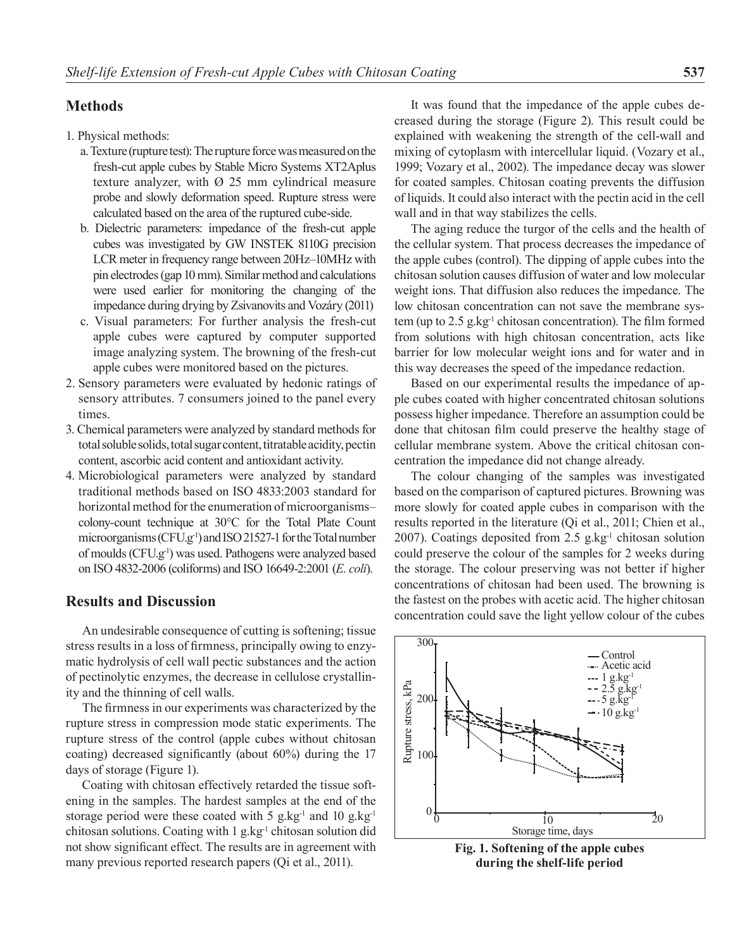## **Methods**

1. Physical methods:

- a. Texture (rupture test): The rupture force was measured on the fresh-cut apple cubes by Stable Micro Systems XT2Aplus texture analyzer, with  $\varnothing$  25 mm cylindrical measure probe and slowly deformation speed. Rupture stress were calculated based on the area of the ruptured cube-side.
- b. Dielectric parameters: impedance of the fresh-cut apple cubes was investigated by GW INSTEK 8110G precision LCR meter in frequency range between 20Hz–10MHz with pin electrodes (gap 10 mm). Similar method and calculations were used earlier for monitoring the changing of the impedance during drying by Zsivanovits and Vozáry (2011)
- c. Visual parameters: For further analysis the fresh-cut apple cubes were captured by computer supported image analyzing system. The browning of the fresh-cut apple cubes were monitored based on the pictures.
- 2. Sensory parameters were evaluated by hedonic ratings of sensory attributes. 7 consumers joined to the panel every times.
- 3. Chemical parameters were analyzed by standard methods for total soluble solids, total sugar content, titratable acidity, pectin content, ascorbic acid content and antioxidant activity.
- 4. Microbiological parameters were analyzed by standard traditional methods based on ISO 4833:2003 standard for horizontal method for the enumeration of microorganisms– colony-count technique at 30°C for the Total Plate Count microorganisms (CFU.g-1) and ISO 21527-1 for the Total number of moulds (CFU.g-1) was used. Pathogens were analyzed based on ISO 4832-2006 (coliforms) and ISO 16649-2:2001 (*E. coli*).

#### **Results and Discussion**

An undesirable consequence of cutting is softening; tissue stress results in a loss of firmness, principally owing to enzymatic hydrolysis of cell wall pectic substances and the action of pectinolytic enzymes, the decrease in cellulose crystallinity and the thinning of cell walls.

The firmness in our experiments was characterized by the rupture stress in compression mode static experiments. The rupture stress of the control (apple cubes without chitosan coating) decreased significantly (about 60%) during the 17 days of storage (Figure 1).

Coating with chitosan effectively retarded the tissue softening in the samples. The hardest samples at the end of the storage period were these coated with 5 g,  $kg^{-1}$  and 10 g,  $kg^{-1}$ chitosan solutions. Coating with 1 g.kg<sup>-1</sup> chitosan solution did not show significant effect. The results are in agreement with many previous reported research papers (Qi et al., 2011).

It was found that the impedance of the apple cubes decreased during the storage (Figure 2). This result could be explained with weakening the strength of the cell-wall and mixing of cytoplasm with intercellular liquid. (Vozary et al., 1999; Vozary et al., 2002). The impedance decay was slower for coated samples. Chitosan coating prevents the diffusion of liquids. It could also interact with the pectin acid in the cell wall and in that way stabilizes the cells.

The aging reduce the turgor of the cells and the health of the cellular system. That process decreases the impedance of the apple cubes (control). The dipping of apple cubes into the chitosan solution causes diffusion of water and low molecular weight ions. That diffusion also reduces the impedance. The low chitosan concentration can not save the membrane system (up to 2.5 g.kg<sup>-1</sup> chitosan concentration). The film formed from solutions with high chitosan concentration, acts like barrier for low molecular weight ions and for water and in this way decreases the speed of the impedance redaction.

Based on our experimental results the impedance of apple cubes coated with higher concentrated chitosan solutions possess higher impedance. Therefore an assumption could be done that chitosan film could preserve the healthy stage of cellular membrane system. Above the critical chitosan concentration the impedance did not change already.

The colour changing of the samples was investigated based on the comparison of captured pictures. Browning was more slowly for coated apple cubes in comparison with the results reported in the literature (Qi et al., 2011; Chien et al., 2007). Coatings deposited from 2.5 g.kg-1 chitosan solution could preserve the colour of the samples for 2 weeks during the storage. The colour preserving was not better if higher concentrations of chitosan had been used. The browning is the fastest on the probes with acetic acid. The higher chitosan concentration could save the light yellow colour of the cubes



**Fig. 1. Softening of the apple cubes during the shelf-life period**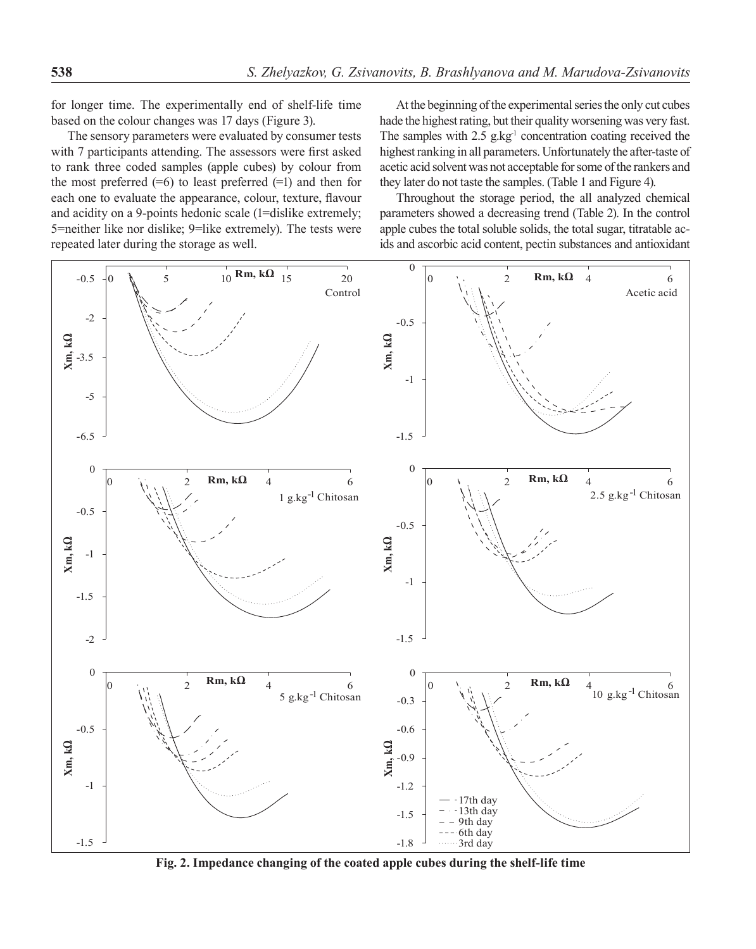for longer time. The experimentally end of shelf-life time based on the colour changes was 17 days (Figure 3).

The sensory parameters were evaluated by consumer tests with 7 participants attending. The assessors were first asked to rank three coded samples (apple cubes) by colour from the most preferred  $(=6)$  to least preferred  $(=1)$  and then for each one to evaluate the appearance, colour, texture, flavour and acidity on a 9-points hedonic scale (1=dislike extremely; 5=neither like nor dislike; 9=like extremely). The tests were repeated later during the storage as well.

At the beginning of the experimental series the only cut cubes hade the highest rating, but their quality worsening was very fast. The samples with  $2.5$  g.kg<sup>-1</sup> concentration coating received the highest ranking in all parameters. Unfortunately the after-taste of acetic acid solvent was not acceptable for some of the rankers and they later do not taste the samples. (Table 1 and Figure 4).

Throughout the storage period, the all analyzed chemical parameters showed a decreasing trend (Table 2). In the control apple cubes the total soluble solids, the total sugar, titratable acids and ascorbic acid content, pectin substances and antioxidant



**Fig. 2. Impedance changing of the coated apple cubes during the shelf-life time**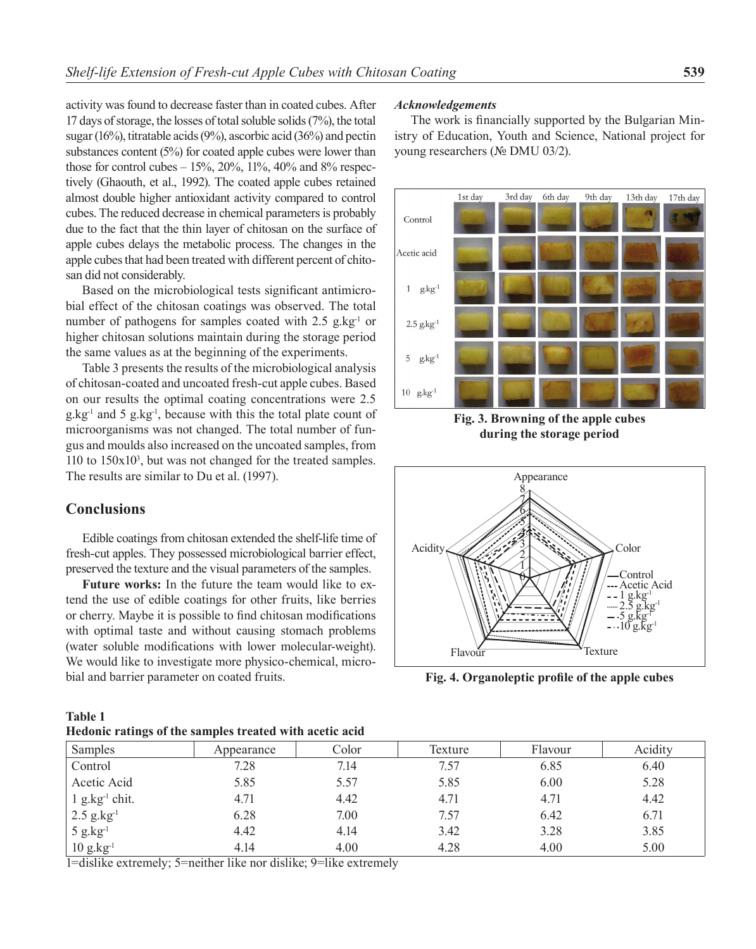activity was found to decrease faster than in coated cubes. After 17 days of storage, the losses of total soluble solids (7%), the total sugar (16%), titratable acids (9%), ascorbic acid (36%) and pectin substances content (5%) for coated apple cubes were lower than those for control cubes  $-15\%$ ,  $20\%$ ,  $11\%$ ,  $40\%$  and  $8\%$  respectively (Ghaouth, et al., 1992). The coated apple cubes retained almost double higher antioxidant activity compared to control cubes. The reduced decrease in chemical parameters is probably due to the fact that the thin layer of chitosan on the surface of apple cubes delays the metabolic process. The changes in the apple cubes that had been treated with different percent of chitosan did not considerably.

Based on the microbiological tests significant antimicrobial effect of the chitosan coatings was observed. The total number of pathogens for samples coated with  $2.5$  g.kg<sup>-1</sup> or higher chitosan solutions maintain during the storage period the same values as at the beginning of the experiments.

Table 3 presents the results of the microbiological analysis of chitosan-coated and uncoated fresh-cut apple cubes. Based on our results the optimal coating concentrations were 2.5 g.kg-1 and 5 g.kg-1, because with this the total plate count of microorganisms was not changed. The total number of fungus and moulds also increased on the uncoated samples, from 110 to 150x103 , but was not changed for the treated samples. The results are similar to Du et al. (1997).

## **Conclusions**

Edible coatings from chitosan extended the shelf-life time of fresh-cut apples. They possessed microbiological barrier effect, preserved the texture and the visual parameters of the samples.

**Future works:** In the future the team would like to extend the use of edible coatings for other fruits, like berries or cherry. Maybe it is possible to find chitosan modifications with optimal taste and without causing stomach problems (water soluble modifications with lower molecular-weight). We would like to investigate more physico-chemical, microbial and barrier parameter on coated fruits.

**Table 1 Hedonic ratings of the samples treated with acetic acid**

#### *Acknowledgements*

The work is financially supported by the Bulgarian Ministry of Education, Youth and Science, National project for young researchers (№ DMU 03/2).



**Fig. 3. Browning of the apple cubes during the storage period**



**Fig. 4. Organoleptic profile of the apple cubes**

| Treading Fattings of the samples treated with accent acid |                               |       |         |         |         |  |  |
|-----------------------------------------------------------|-------------------------------|-------|---------|---------|---------|--|--|
| Samples                                                   | Appearance                    | Color | Texture | Flavour | Acidity |  |  |
| Control                                                   | 7.28                          | 7.14  | 7.57    | 6.85    | 6.40    |  |  |
| Acetic Acid                                               | 5.85                          | 5.57  | 5.85    | 6.00    | 5.28    |  |  |
| $1$ g.kg <sup>-1</sup> chit.                              | 4.71                          | 4.42  | 4.71    | 4.71    | 4.42    |  |  |
| $2.5$ g.kg <sup>-1</sup>                                  | 6.28                          | 7.00  | 7.57    | 6.42    | 6.71    |  |  |
| $5$ g.kg <sup>-1</sup>                                    | 4.42                          | 4.14  | 3.42    | 3.28    | 3.85    |  |  |
| $10 \text{ g} \text{ kg}^{-1}$                            | 4.14                          | 4.00  | 4.28    | 4.00    | 5.00    |  |  |
| .                                                         | $\overline{\phantom{a}}$<br>. |       |         |         |         |  |  |

1=dislike extremely; 5=neither like nor dislike; 9=like extremely